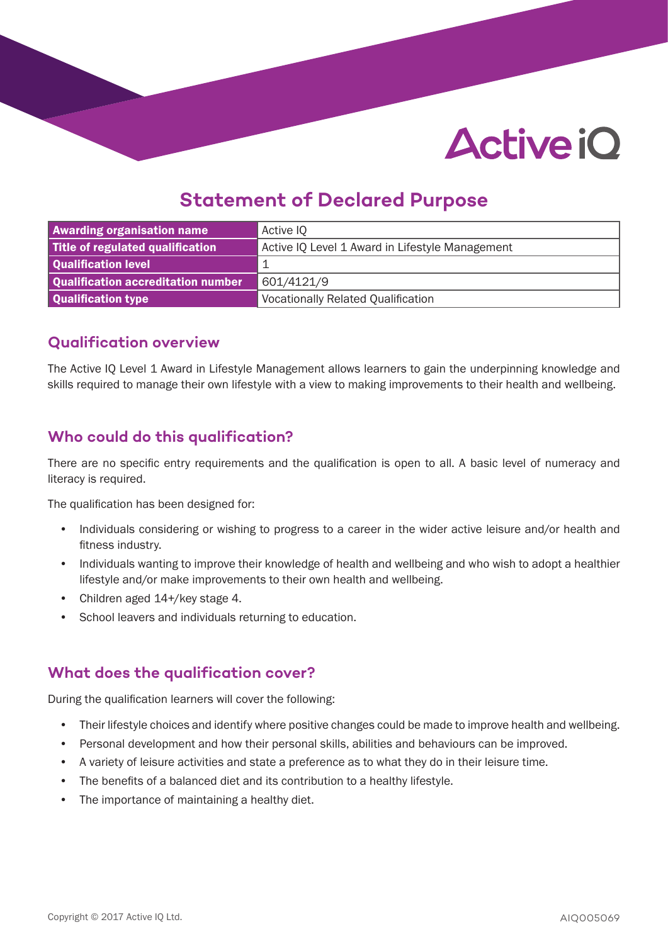# **Active iO**

## **Statement of Declared Purpose**

| <b>Awarding organisation name</b>  | Active IQ                                       |
|------------------------------------|-------------------------------------------------|
| Title of regulated qualification   | Active IQ Level 1 Award in Lifestyle Management |
| Qualification level                |                                                 |
| Qualification accreditation number | 601/4121/9                                      |
| Qualification type                 | <b>Vocationally Related Qualification</b>       |

### **Qualification overview**

The Active IQ Level 1 Award in Lifestyle Management allows learners to gain the underpinning knowledge and skills required to manage their own lifestyle with a view to making improvements to their health and wellbeing.

## **Who could do this qualification?**

There are no specific entry requirements and the qualification is open to all. A basic level of numeracy and literacy is required.

The qualification has been designed for:

- Individuals considering or wishing to progress to a career in the wider active leisure and/or health and fitness industry.
- Individuals wanting to improve their knowledge of health and wellbeing and who wish to adopt a healthier lifestyle and/or make improvements to their own health and wellbeing.
- Children aged 14+/key stage 4.
- School leavers and individuals returning to education.

## **What does the qualification cover?**

During the qualification learners will cover the following:

- Their lifestyle choices and identify where positive changes could be made to improve health and wellbeing.
- Personal development and how their personal skills, abilities and behaviours can be improved.
- A variety of leisure activities and state a preference as to what they do in their leisure time.
- The benefits of a balanced diet and its contribution to a healthy lifestyle.
- The importance of maintaining a healthy diet.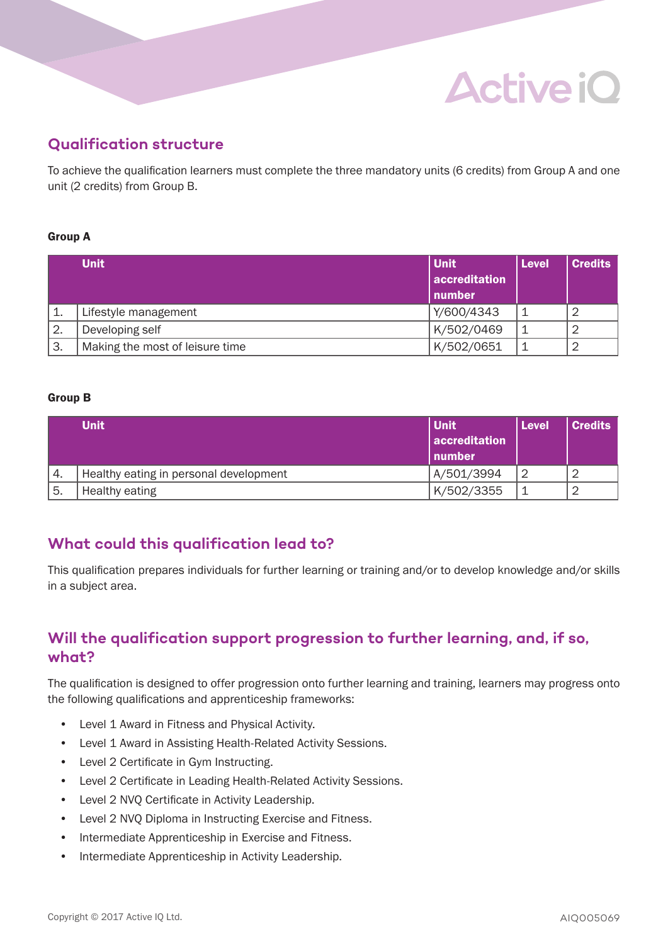## **Active iO**

## **Qualification structure**

To achieve the qualification learners must complete the three mandatory units (6 credits) from Group A and one unit (2 credits) from Group B.

#### Group A

|    | <b>Unit</b>                     | Unit<br>accreditation<br>number | <b>Level</b> | <b>Credits</b> |
|----|---------------------------------|---------------------------------|--------------|----------------|
|    | Lifestyle management            | Y/600/4343                      |              |                |
| 2. | Developing self                 | K/502/0469                      | -1           |                |
| 3. | Making the most of leisure time | K/502/0651                      | 1            |                |

#### Group B

|      | <b>Unit</b>                            | l Unit        | <b>Level</b> | <b>Credits</b> |
|------|----------------------------------------|---------------|--------------|----------------|
|      |                                        | accreditation |              |                |
|      |                                        | l number      |              |                |
| 4.   | Healthy eating in personal development | A/501/3994    | 2            |                |
| ์ 5. | Healthy eating                         | K/502/3355    | -1           |                |

## **What could this qualification lead to?**

This qualification prepares individuals for further learning or training and/or to develop knowledge and/or skills in a subject area.

## **Will the qualification support progression to further learning, and, if so, what?**

The qualification is designed to offer progression onto further learning and training, learners may progress onto the following qualifications and apprenticeship frameworks:

- Level 1 Award in Fitness and Physical Activity.
- Level 1 Award in Assisting Health-Related Activity Sessions.
- Level 2 Certificate in Gym Instructing.
- Level 2 Certificate in Leading Health-Related Activity Sessions.
- Level 2 NVQ Certificate in Activity Leadership.
- Level 2 NVQ Diploma in Instructing Exercise and Fitness.
- Intermediate Apprenticeship in Exercise and Fitness.
- Intermediate Apprenticeship in Activity Leadership.